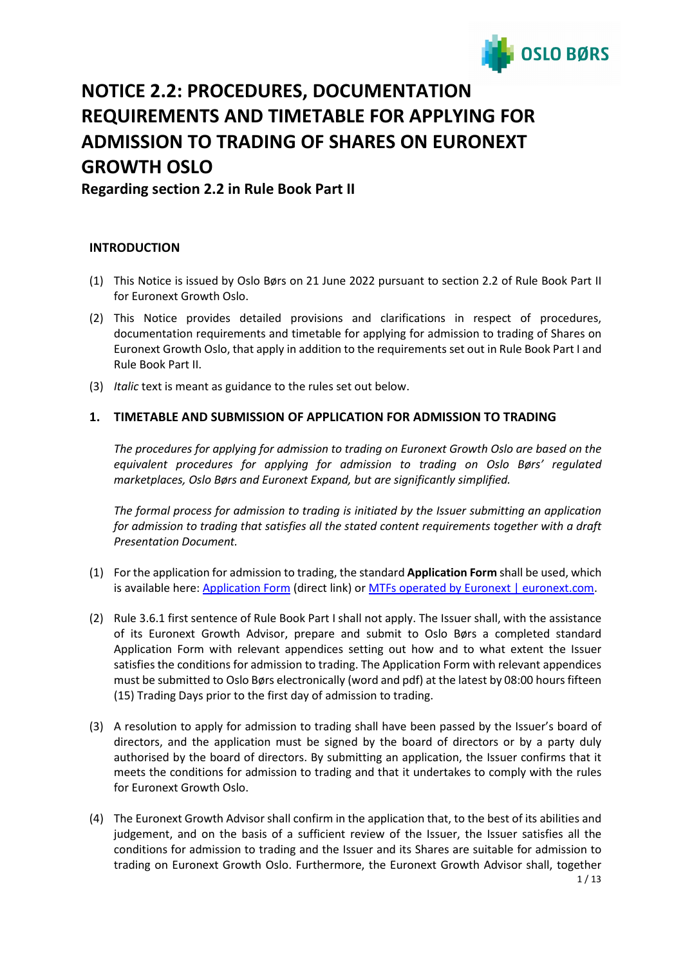

# **NOTICE 2.2: PROCEDURES, DOCUMENTATION REQUIREMENTS AND TIMETABLE FOR APPLYING FOR ADMISSION TO TRADING OF SHARES ON EURONEXT GROWTH OSLO**

**Regarding section 2.2 in Rule Book Part II**

# **INTRODUCTION**

- (1) This Notice is issued by Oslo Børs on 21 June 2022 pursuant to section 2.2 of Rule Book Part II for Euronext Growth Oslo.
- (2) This Notice provides detailed provisions and clarifications in respect of procedures, documentation requirements and timetable for applying for admission to trading of Shares on Euronext Growth Oslo, that apply in addition to the requirements set out in Rule Book Part I and Rule Book Part II.
- (3) *Italic* text is meant as guidance to the rules set out below.

# **1. TIMETABLE AND SUBMISSION OF APPLICATION FOR ADMISSION TO TRADING**

*The procedures for applying for admission to trading on Euronext Growth Oslo are based on the equivalent procedures for applying for admission to trading on Oslo Børs' regulated marketplaces, Oslo Børs and Euronext Expand, but are significantly simplified.*

*The formal process for admission to trading is initiated by the Issuer submitting an application for admission to trading that satisfies all the stated content requirements together with a draft Presentation Document.*

- (1) For the application for admission to trading, the standard **Application Form** shall be used, which is available here[: Application Form](https://www.euronext.com/en/media/6351/download) (direct link) or [MTFs operated by Euronext | euronext.com.](https://www.euronext.com/en/regulation/mtfs-operated-euronext)
- (2) Rule 3.6.1 first sentence of Rule Book Part I shall not apply. The Issuer shall, with the assistance of its Euronext Growth Advisor, prepare and submit to Oslo Børs a completed standard Application Form with relevant appendices setting out how and to what extent the Issuer satisfies the conditions for admission to trading. The Application Form with relevant appendices must be submitted to Oslo Børs electronically (word and pdf) at the latest by 08:00 hours fifteen (15) Trading Days prior to the first day of admission to trading.
- (3) A resolution to apply for admission to trading shall have been passed by the Issuer's board of directors, and the application must be signed by the board of directors or by a party duly authorised by the board of directors. By submitting an application, the Issuer confirms that it meets the conditions for admission to trading and that it undertakes to comply with the rules for Euronext Growth Oslo.
- (4) The Euronext Growth Advisor shall confirm in the application that, to the best of its abilities and judgement, and on the basis of a sufficient review of the Issuer, the Issuer satisfies all the conditions for admission to trading and the Issuer and its Shares are suitable for admission to trading on Euronext Growth Oslo. Furthermore, the Euronext Growth Advisor shall, together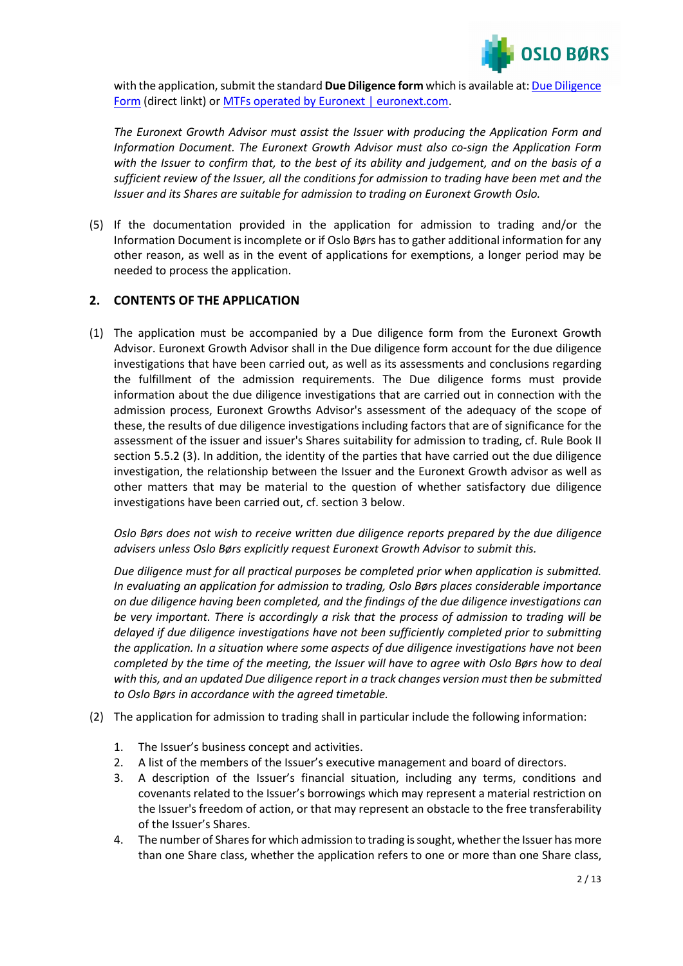

with the application, submit the standard **Due Diligence form** which is available at[: Due Diligence](https://www.euronext.com/en/media/6352/download)  [Form](https://www.euronext.com/en/media/6352/download) (direct linkt) or MTFs operated by [Euronext | euronext.com.](https://www.euronext.com/en/regulation/mtfs-operated-euronext)

*The Euronext Growth Advisor must assist the Issuer with producing the Application Form and Information Document. The Euronext Growth Advisor must also co-sign the Application Form with the Issuer to confirm that, to the best of its ability and judgement, and on the basis of a sufficient review of the Issuer, all the conditions for admission to trading have been met and the Issuer and its Shares are suitable for admission to trading on Euronext Growth Oslo.*

(5) If the documentation provided in the application for admission to trading and/or the Information Document is incomplete or if Oslo Børs has to gather additional information for any other reason, as well as in the event of applications for exemptions, a longer period may be needed to process the application.

# **2. CONTENTS OF THE APPLICATION**

(1) The application must be accompanied by a Due diligence form from the Euronext Growth Advisor. Euronext Growth Advisor shall in the Due diligence form account for the due diligence investigations that have been carried out, as well as its assessments and conclusions regarding the fulfillment of the admission requirements. The Due diligence forms must provide information about the due diligence investigations that are carried out in connection with the admission process, Euronext Growths Advisor's assessment of the adequacy of the scope of these, the results of due diligence investigations including factors that are of significance for the assessment of the issuer and issuer's Shares suitability for admission to trading, cf. Rule Book II section 5.5.2 (3). In addition, the identity of the parties that have carried out the due diligence investigation, the relationship between the Issuer and the Euronext Growth advisor as well as other matters that may be material to the question of whether satisfactory due diligence investigations have been carried out, cf. section 3 below.

*Oslo Børs does not wish to receive written due diligence reports prepared by the due diligence advisers unless Oslo Børs explicitly request Euronext Growth Advisor to submit this.* 

*Due diligence must for all practical purposes be completed prior when application is submitted. In evaluating an application for admission to trading, Oslo Børs places considerable importance on due diligence having been completed, and the findings of the due diligence investigations can be very important. There is accordingly a risk that the process of admission to trading will be delayed if due diligence investigations have not been sufficiently completed prior to submitting the application. In a situation where some aspects of due diligence investigations have not been completed by the time of the meeting, the Issuer will have to agree with Oslo Børs how to deal with this, and an updated Due diligence report in a track changes version must then be submitted to Oslo Børs in accordance with the agreed timetable.*

- (2) The application for admission to trading shall in particular include the following information:
	- 1. The Issuer's business concept and activities.
	- 2. A list of the members of the Issuer's executive management and board of directors.
	- 3. A description of the Issuer's financial situation, including any terms, conditions and covenants related to the Issuer's borrowings which may represent a material restriction on the Issuer's freedom of action, or that may represent an obstacle to the free transferability of the Issuer's Shares.
	- 4. The number of Shares for which admission to trading is sought, whether the Issuer has more than one Share class, whether the application refers to one or more than one Share class,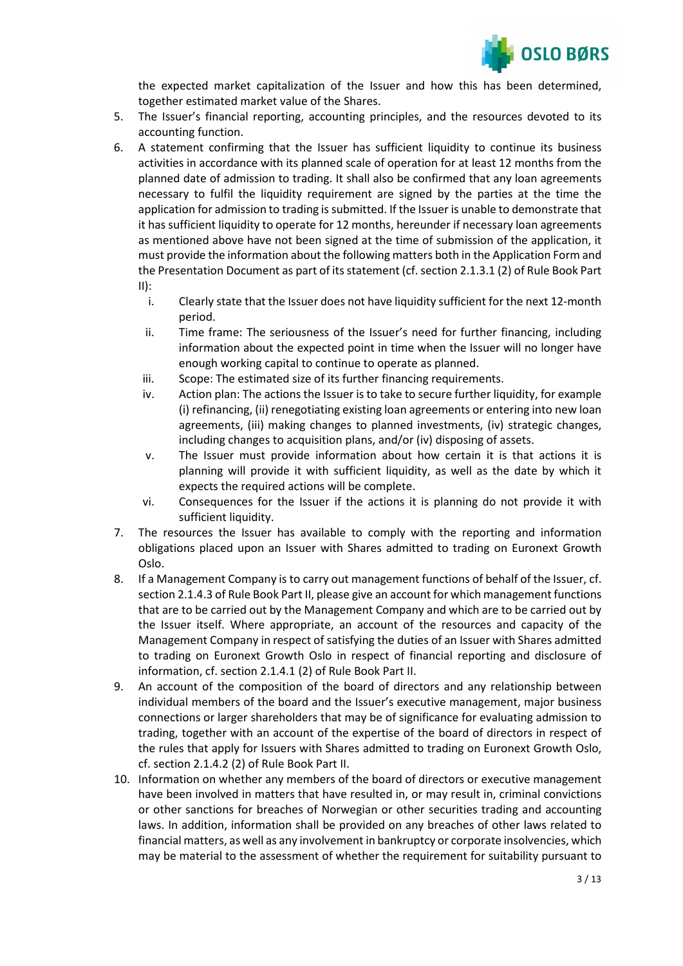

the expected market capitalization of the Issuer and how this has been determined, together estimated market value of the Shares.

- 5. The Issuer's financial reporting, accounting principles, and the resources devoted to its accounting function.
- 6. A statement confirming that the Issuer has sufficient liquidity to continue its business activities in accordance with its planned scale of operation for at least 12 months from the planned date of admission to trading. It shall also be confirmed that any loan agreements necessary to fulfil the liquidity requirement are signed by the parties at the time the application for admission to trading is submitted. If the Issuer is unable to demonstrate that it has sufficient liquidity to operate for 12 months, hereunder if necessary loan agreements as mentioned above have not been signed at the time of submission of the application, it must provide the information about the following matters both in the Application Form and the Presentation Document as part of its statement (cf. section 2.1.3.1 (2) of Rule Book Part  $II)$ :
	- i. Clearly state that the Issuer does not have liquidity sufficient for the next 12-month period.
	- ii. Time frame: The seriousness of the Issuer's need for further financing, including information about the expected point in time when the Issuer will no longer have enough working capital to continue to operate as planned.
	- iii. Scope: The estimated size of its further financing requirements.
	- iv. Action plan: The actions the Issuer is to take to secure further liquidity, for example (i) refinancing, (ii) renegotiating existing loan agreements or entering into new loan agreements, (iii) making changes to planned investments, (iv) strategic changes, including changes to acquisition plans, and/or (iv) disposing of assets.
	- v. The Issuer must provide information about how certain it is that actions it is planning will provide it with sufficient liquidity, as well as the date by which it expects the required actions will be complete.
	- vi. Consequences for the Issuer if the actions it is planning do not provide it with sufficient liquidity.
- 7. The resources the Issuer has available to comply with the reporting and information obligations placed upon an Issuer with Shares admitted to trading on Euronext Growth Oslo.
- 8. If a Management Company is to carry out management functions of behalf of the Issuer, cf. section 2.1.4.3 of Rule Book Part II, please give an account for which management functions that are to be carried out by the Management Company and which are to be carried out by the Issuer itself. Where appropriate, an account of the resources and capacity of the Management Company in respect of satisfying the duties of an Issuer with Shares admitted to trading on Euronext Growth Oslo in respect of financial reporting and disclosure of information, cf. section 2.1.4.1 (2) of Rule Book Part II.
- 9. An account of the composition of the board of directors and any relationship between individual members of the board and the Issuer's executive management, major business connections or larger shareholders that may be of significance for evaluating admission to trading, together with an account of the expertise of the board of directors in respect of the rules that apply for Issuers with Shares admitted to trading on Euronext Growth Oslo, cf. section 2.1.4.2 (2) of Rule Book Part II.
- 10. Information on whether any members of the board of directors or executive management have been involved in matters that have resulted in, or may result in, criminal convictions or other sanctions for breaches of Norwegian or other securities trading and accounting laws. In addition, information shall be provided on any breaches of other laws related to financial matters, as well as any involvement in bankruptcy or corporate insolvencies, which may be material to the assessment of whether the requirement for suitability pursuant to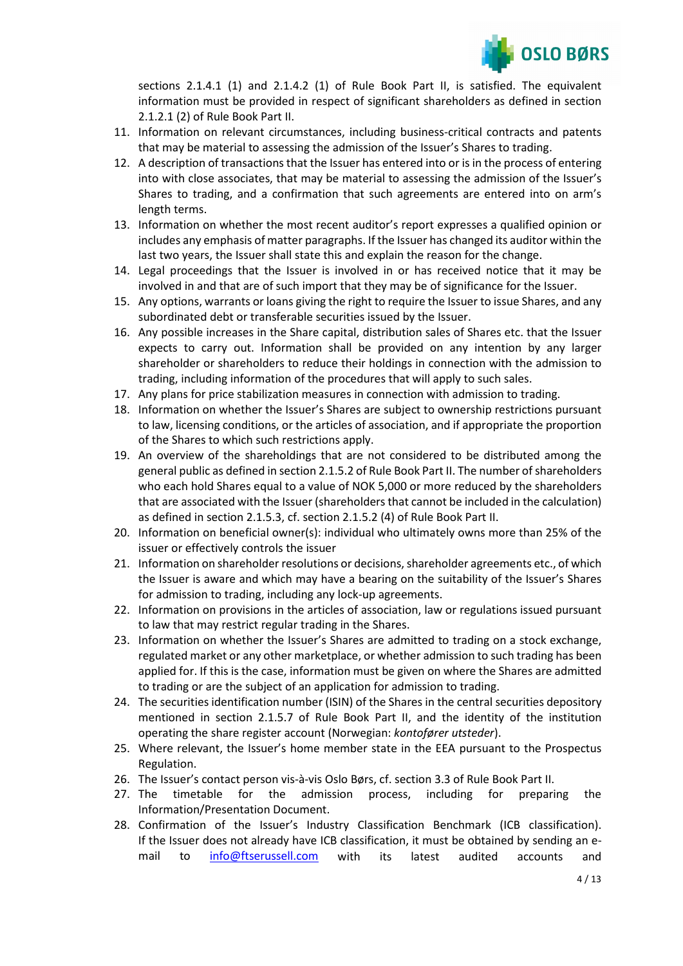

sections 2.1.4.1 (1) and 2.1.4.2 (1) of Rule Book Part II, is satisfied. The equivalent information must be provided in respect of significant shareholders as defined in section 2.1.2.1 (2) of Rule Book Part II.

- 11. Information on relevant circumstances, including business-critical contracts and patents that may be material to assessing the admission of the Issuer's Shares to trading.
- 12. A description of transactions that the Issuer has entered into or isin the process of entering into with close associates, that may be material to assessing the admission of the Issuer's Shares to trading, and a confirmation that such agreements are entered into on arm's length terms.
- 13. Information on whether the most recent auditor's report expresses a qualified opinion or includes any emphasis of matter paragraphs. If the Issuer has changed its auditor within the last two years, the Issuer shall state this and explain the reason for the change.
- 14. Legal proceedings that the Issuer is involved in or has received notice that it may be involved in and that are of such import that they may be of significance for the Issuer.
- 15. Any options, warrants or loans giving the right to require the Issuer to issue Shares, and any subordinated debt or transferable securities issued by the Issuer.
- 16. Any possible increases in the Share capital, distribution sales of Shares etc. that the Issuer expects to carry out. Information shall be provided on any intention by any larger shareholder or shareholders to reduce their holdings in connection with the admission to trading, including information of the procedures that will apply to such sales.
- 17. Any plans for price stabilization measures in connection with admission to trading.
- 18. Information on whether the Issuer's Shares are subject to ownership restrictions pursuant to law, licensing conditions, or the articles of association, and if appropriate the proportion of the Shares to which such restrictions apply.
- 19. An overview of the shareholdings that are not considered to be distributed among the general public as defined in section 2.1.5.2 of Rule Book Part II. The number of shareholders who each hold Shares equal to a value of NOK 5,000 or more reduced by the shareholders that are associated with the Issuer (shareholders that cannot be included in the calculation) as defined in section 2.1.5.3, cf. section 2.1.5.2 (4) of Rule Book Part II.
- 20. Information on beneficial owner(s): individual who ultimately owns more than 25% of the issuer or effectively controls the issuer
- 21. Information on shareholder resolutions or decisions, shareholder agreements etc., of which the Issuer is aware and which may have a bearing on the suitability of the Issuer's Shares for admission to trading, including any lock-up agreements.
- 22. Information on provisions in the articles of association, law or regulations issued pursuant to law that may restrict regular trading in the Shares.
- 23. Information on whether the Issuer's Shares are admitted to trading on a stock exchange, regulated market or any other marketplace, or whether admission to such trading has been applied for. If this is the case, information must be given on where the Shares are admitted to trading or are the subject of an application for admission to trading.
- 24. The securities identification number (ISIN) of the Shares in the central securities depository mentioned in section 2.1.5.7 of Rule Book Part II, and the identity of the institution operating the share register account (Norwegian: *kontofører utsteder*).
- 25. Where relevant, the Issuer's home member state in the EEA pursuant to the Prospectus Regulation.
- 26. The Issuer's contact person vis-à-vis Oslo Børs, cf. section 3.3 of Rule Book Part II.
- 27. The timetable for the admission process, including for preparing the Information/Presentation Document.
- 28. Confirmation of the Issuer's Industry Classification Benchmark (ICB classification). If the Issuer does not already have ICB classification, it must be obtained by sending an email to [info@ftserussell.com](mailto:info@ftserussell.com) with its latest audited accounts and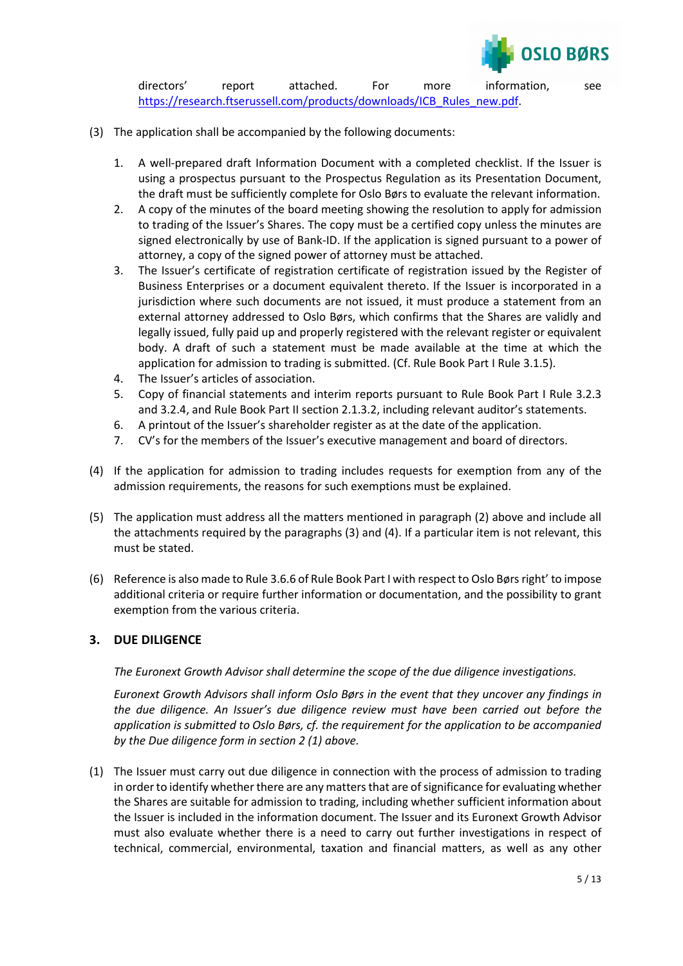

directors' report attached. For more information, see [https://research.ftserussell.com/products/downloads/ICB\\_Rules\\_new.pdf.](https://research.ftserussell.com/products/downloads/ICB_Rules_new.pdf)

- (3) The application shall be accompanied by the following documents:
	- 1. A well-prepared draft Information Document with a completed checklist. If the Issuer is using a prospectus pursuant to the Prospectus Regulation as its Presentation Document, the draft must be sufficiently complete for Oslo Børs to evaluate the relevant information.
	- 2. A copy of the minutes of the board meeting showing the resolution to apply for admission to trading of the Issuer's Shares. The copy must be a certified copy unless the minutes are signed electronically by use of Bank-ID. If the application is signed pursuant to a power of attorney, a copy of the signed power of attorney must be attached.
	- 3. The Issuer's certificate of registration certificate of registration issued by the Register of Business Enterprises or a document equivalent thereto. If the Issuer is incorporated in a jurisdiction where such documents are not issued, it must produce a statement from an external attorney addressed to Oslo Børs, which confirms that the Shares are validly and legally issued, fully paid up and properly registered with the relevant register or equivalent body. A draft of such a statement must be made available at the time at which the application for admission to trading is submitted. (Cf. Rule Book Part I Rule 3.1.5).
	- 4. The Issuer's articles of association.
	- 5. Copy of financial statements and interim reports pursuant to Rule Book Part I Rule 3.2.3 and 3.2.4, and Rule Book Part II section 2.1.3.2, including relevant auditor's statements.
	- 6. A printout of the Issuer's shareholder register as at the date of the application.
	- 7. CV's for the members of the Issuer's executive management and board of directors.
- (4) If the application for admission to trading includes requests for exemption from any of the admission requirements, the reasons for such exemptions must be explained.
- (5) The application must address all the matters mentioned in paragraph (2) above and include all the attachments required by the paragraphs (3) and (4). If a particular item is not relevant, this must be stated.
- (6) Reference is also made to Rule 3.6.6 of Rule Book Part I with respect to Oslo Børs right' to impose additional criteria or require further information or documentation, and the possibility to grant exemption from the various criteria.

# **3. DUE DILIGENCE**

*The Euronext Growth Advisor shall determine the scope of the due diligence investigations.* 

*Euronext Growth Advisors shall inform Oslo Børs in the event that they uncover any findings in the due diligence. An Issuer's due diligence review must have been carried out before the application is submitted to Oslo Børs, cf. the requirement for the application to be accompanied by the Due diligence form in section 2 (1) above.*

(1) The Issuer must carry out due diligence in connection with the process of admission to trading in order to identify whether there are any matters that are of significance for evaluating whether the Shares are suitable for admission to trading, including whether sufficient information about the Issuer is included in the information document. The Issuer and its Euronext Growth Advisor must also evaluate whether there is a need to carry out further investigations in respect of technical, commercial, environmental, taxation and financial matters, as well as any other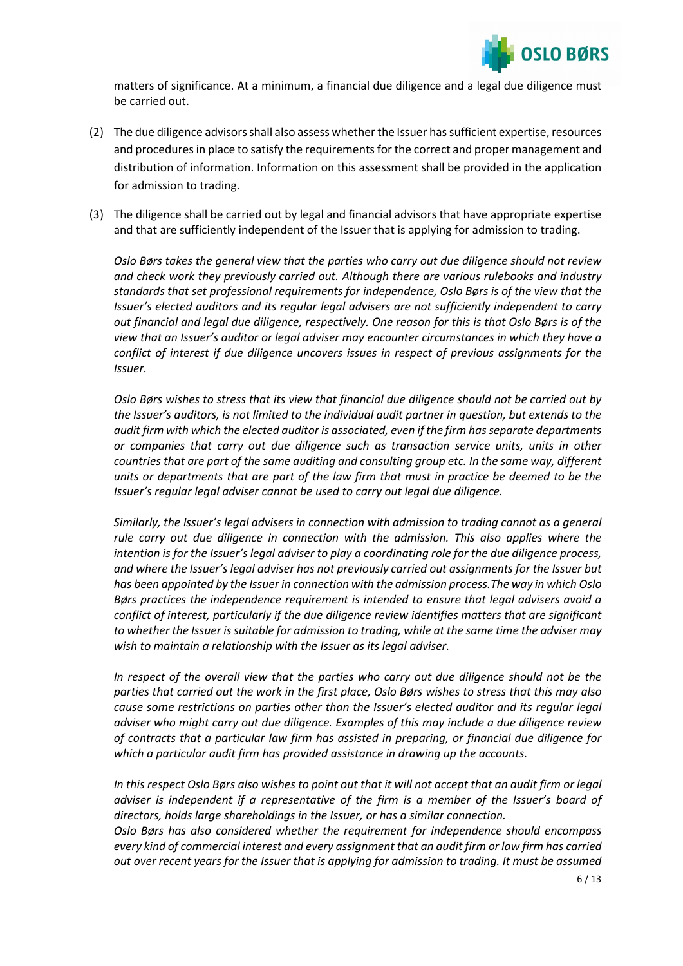

matters of significance. At a minimum, a financial due diligence and a legal due diligence must be carried out.

- (2) The due diligence advisors shall also assess whether the Issuer has sufficient expertise, resources and procedures in place to satisfy the requirements for the correct and proper management and distribution of information. Information on this assessment shall be provided in the application for admission to trading.
- (3) The diligence shall be carried out by legal and financial advisors that have appropriate expertise and that are sufficiently independent of the Issuer that is applying for admission to trading.

*Oslo Børs takes the general view that the parties who carry out due diligence should not review and check work they previously carried out. Although there are various rulebooks and industry standards that set professional requirements for independence, Oslo Børs is of the view that the Issuer's elected auditors and its regular legal advisers are not sufficiently independent to carry out financial and legal due diligence, respectively. One reason for this is that Oslo Børs is of the view that an Issuer's auditor or legal adviser may encounter circumstances in which they have a conflict of interest if due diligence uncovers issues in respect of previous assignments for the Issuer.*

*Oslo Børs wishes to stress that its view that financial due diligence should not be carried out by the Issuer's auditors, is not limited to the individual audit partner in question, but extends to the audit firm with which the elected auditor is associated, even if the firm has separate departments or companies that carry out due diligence such as transaction service units, units in other countries that are part of the same auditing and consulting group etc. In the same way, different units or departments that are part of the law firm that must in practice be deemed to be the Issuer's regular legal adviser cannot be used to carry out legal due diligence.*

*Similarly, the Issuer's legal advisers in connection with admission to trading cannot as a general rule carry out due diligence in connection with the admission. This also applies where the intention is for the Issuer's legal adviser to play a coordinating role for the due diligence process, and where the Issuer's legal adviser has not previously carried out assignments for the Issuer but has been appointed by the Issuer in connection with the admission process.The way in which Oslo Børs practices the independence requirement is intended to ensure that legal advisers avoid a conflict of interest, particularly if the due diligence review identifies matters that are significant to whether the Issuer is suitable for admission to trading, while at the same time the adviser may wish to maintain a relationship with the Issuer as its legal adviser.*

*In respect of the overall view that the parties who carry out due diligence should not be the parties that carried out the work in the first place, Oslo Børs wishes to stress that this may also cause some restrictions on parties other than the Issuer's elected auditor and its regular legal adviser who might carry out due diligence. Examples of this may include a due diligence review of contracts that a particular law firm has assisted in preparing, or financial due diligence for which a particular audit firm has provided assistance in drawing up the accounts.*

*In this respect Oslo Børs also wishes to point out that it will not accept that an audit firm or legal adviser is independent if a representative of the firm is a member of the Issuer's board of directors, holds large shareholdings in the Issuer, or has a similar connection.*

*Oslo Børs has also considered whether the requirement for independence should encompass every kind of commercial interest and every assignment that an audit firm or law firm has carried out over recent years for the Issuer that is applying for admission to trading. It must be assumed*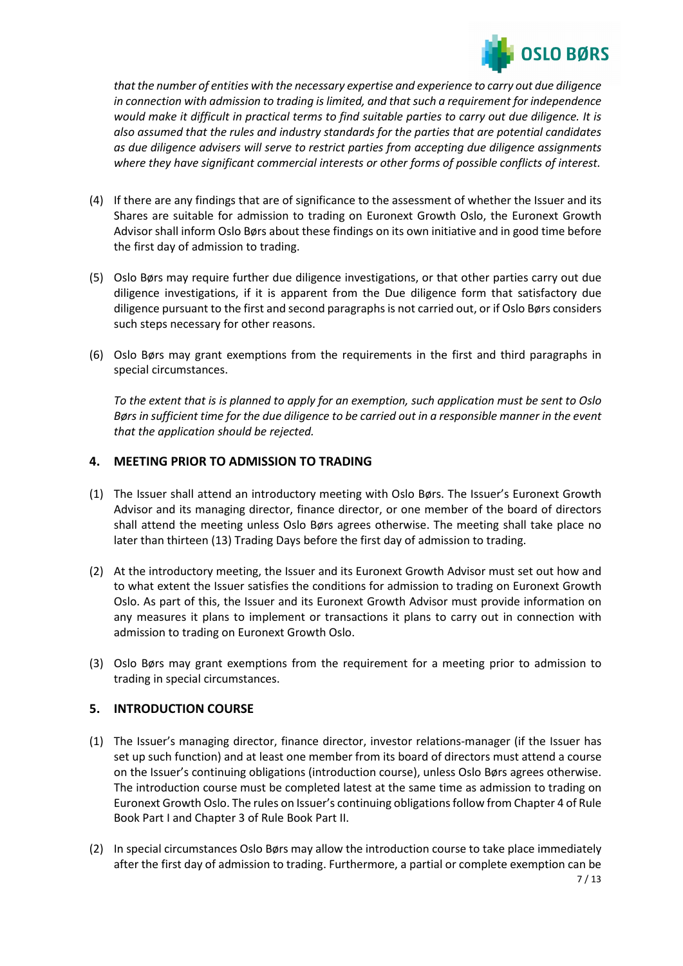

*that the number of entities with the necessary expertise and experience to carry out due diligence in connection with admission to trading is limited, and that such a requirement for independence would make it difficult in practical terms to find suitable parties to carry out due diligence. It is also assumed that the rules and industry standards for the parties that are potential candidates as due diligence advisers will serve to restrict parties from accepting due diligence assignments where they have significant commercial interests or other forms of possible conflicts of interest.*

- (4) If there are any findings that are of significance to the assessment of whether the Issuer and its Shares are suitable for admission to trading on Euronext Growth Oslo, the Euronext Growth Advisor shall inform Oslo Børs about these findings on its own initiative and in good time before the first day of admission to trading.
- (5) Oslo Børs may require further due diligence investigations, or that other parties carry out due diligence investigations, if it is apparent from the Due diligence form that satisfactory due diligence pursuant to the first and second paragraphs is not carried out, or if Oslo Børs considers such steps necessary for other reasons.
- (6) Oslo Børs may grant exemptions from the requirements in the first and third paragraphs in special circumstances.

*To the extent that is is planned to apply for an exemption, such application must be sent to Oslo Børs in sufficient time for the due diligence to be carried out in a responsible manner in the event that the application should be rejected.*

# **4. MEETING PRIOR TO ADMISSION TO TRADING**

- (1) The Issuer shall attend an introductory meeting with Oslo Børs. The Issuer's Euronext Growth Advisor and its managing director, finance director, or one member of the board of directors shall attend the meeting unless Oslo Børs agrees otherwise. The meeting shall take place no later than thirteen (13) Trading Days before the first day of admission to trading.
- (2) At the introductory meeting, the Issuer and its Euronext Growth Advisor must set out how and to what extent the Issuer satisfies the conditions for admission to trading on Euronext Growth Oslo. As part of this, the Issuer and its Euronext Growth Advisor must provide information on any measures it plans to implement or transactions it plans to carry out in connection with admission to trading on Euronext Growth Oslo.
- (3) Oslo Børs may grant exemptions from the requirement for a meeting prior to admission to trading in special circumstances.

# **5. INTRODUCTION COURSE**

- (1) The Issuer's managing director, finance director, investor relations-manager (if the Issuer has set up such function) and at least one member from its board of directors must attend a course on the Issuer's continuing obligations (introduction course), unless Oslo Børs agrees otherwise. The introduction course must be completed latest at the same time as admission to trading on Euronext Growth Oslo. The rules on Issuer's continuing obligations follow from Chapter 4 of Rule Book Part I and Chapter 3 of Rule Book Part II.
- (2) In special circumstances Oslo Børs may allow the introduction course to take place immediately after the first day of admission to trading. Furthermore, a partial or complete exemption can be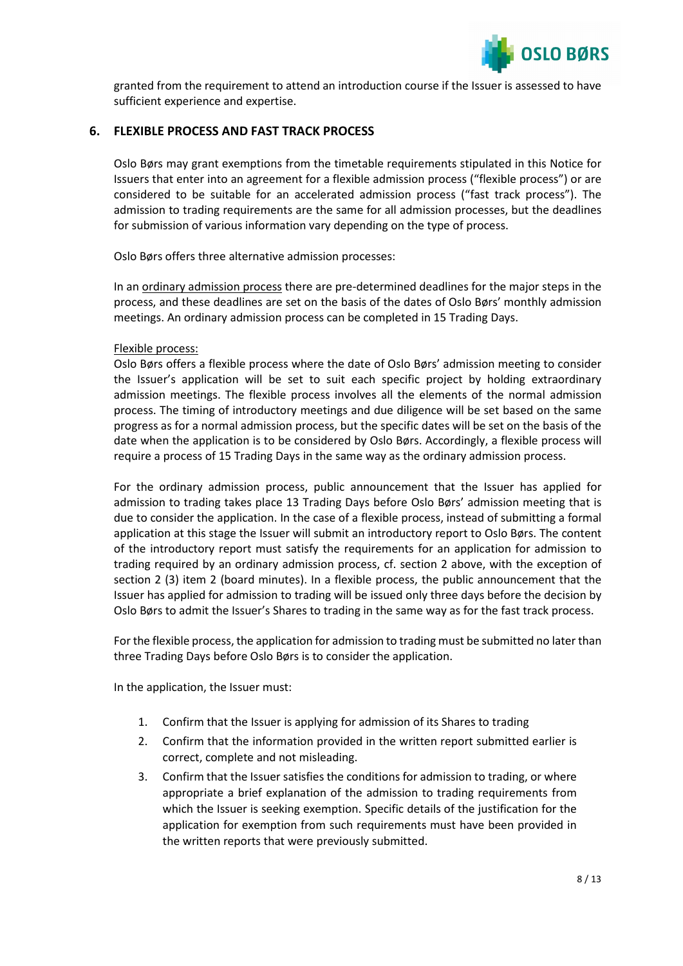

granted from the requirement to attend an introduction course if the Issuer is assessed to have sufficient experience and expertise.

# **6. FLEXIBLE PROCESS AND FAST TRACK PROCESS**

Oslo Børs may grant exemptions from the timetable requirements stipulated in this Notice for Issuers that enter into an agreement for a flexible admission process ("flexible process") or are considered to be suitable for an accelerated admission process ("fast track process"). The admission to trading requirements are the same for all admission processes, but the deadlines for submission of various information vary depending on the type of process.

Oslo Børs offers three alternative admission processes:

In an ordinary admission process there are pre-determined deadlines for the major steps in the process, and these deadlines are set on the basis of the dates of Oslo Børs' monthly admission meetings. An ordinary admission process can be completed in 15 Trading Days.

#### Flexible process:

Oslo Børs offers a flexible process where the date of Oslo Børs' admission meeting to consider the Issuer's application will be set to suit each specific project by holding extraordinary admission meetings. The flexible process involves all the elements of the normal admission process. The timing of introductory meetings and due diligence will be set based on the same progress as for a normal admission process, but the specific dates will be set on the basis of the date when the application is to be considered by Oslo Børs. Accordingly, a flexible process will require a process of 15 Trading Days in the same way as the ordinary admission process.

For the ordinary admission process, public announcement that the Issuer has applied for admission to trading takes place 13 Trading Days before Oslo Børs' admission meeting that is due to consider the application. In the case of a flexible process, instead of submitting a formal application at this stage the Issuer will submit an introductory report to Oslo Børs. The content of the introductory report must satisfy the requirements for an application for admission to trading required by an ordinary admission process, cf. section 2 above, with the exception of section 2 (3) item 2 (board minutes). In a flexible process, the public announcement that the Issuer has applied for admission to trading will be issued only three days before the decision by Oslo Børs to admit the Issuer's Shares to trading in the same way as for the fast track process.

For the flexible process, the application for admission to trading must be submitted no later than three Trading Days before Oslo Børs is to consider the application.

In the application, the Issuer must:

- 1. Confirm that the Issuer is applying for admission of its Shares to trading
- 2. Confirm that the information provided in the written report submitted earlier is correct, complete and not misleading.
- 3. Confirm that the Issuer satisfies the conditions for admission to trading, or where appropriate a brief explanation of the admission to trading requirements from which the Issuer is seeking exemption. Specific details of the justification for the application for exemption from such requirements must have been provided in the written reports that were previously submitted.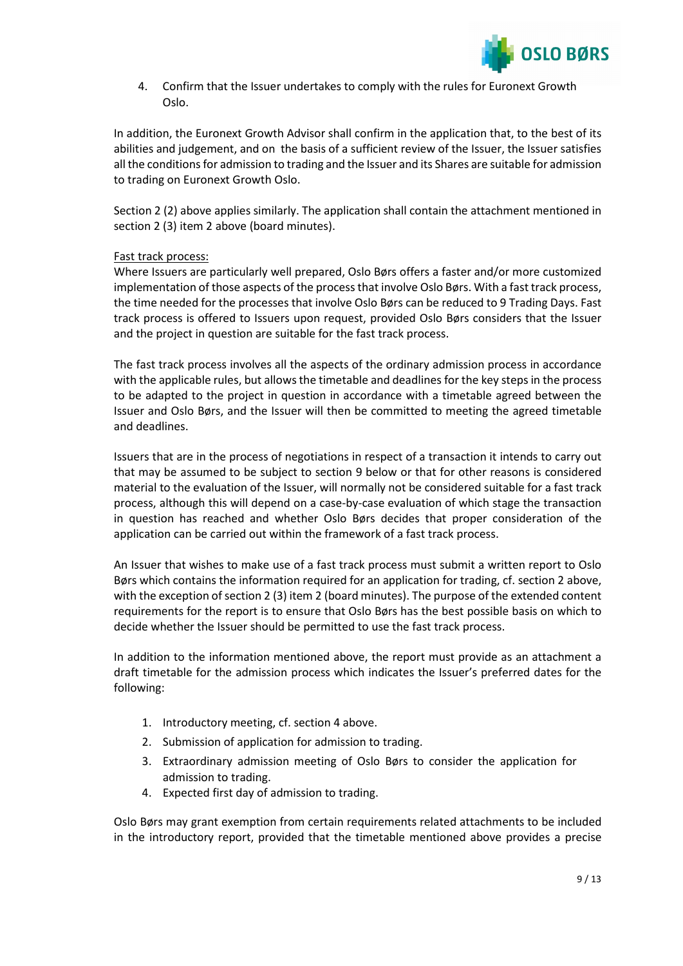

4. Confirm that the Issuer undertakes to comply with the rules for Euronext Growth Oslo.

In addition, the Euronext Growth Advisor shall confirm in the application that, to the best of its abilities and judgement, and on the basis of a sufficient review of the Issuer, the Issuer satisfies all the conditions for admission to trading and the Issuer and its Shares are suitable for admission to trading on Euronext Growth Oslo.

Section 2 (2) above applies similarly. The application shall contain the attachment mentioned in section 2 (3) item 2 above (board minutes).

## Fast track process:

Where Issuers are particularly well prepared, Oslo Børs offers a faster and/or more customized implementation of those aspects of the process that involve Oslo Børs. With a fast track process, the time needed for the processes that involve Oslo Børs can be reduced to 9 Trading Days. Fast track process is offered to Issuers upon request, provided Oslo Børs considers that the Issuer and the project in question are suitable for the fast track process.

The fast track process involves all the aspects of the ordinary admission process in accordance with the applicable rules, but allows the timetable and deadlines for the key steps in the process to be adapted to the project in question in accordance with a timetable agreed between the Issuer and Oslo Børs, and the Issuer will then be committed to meeting the agreed timetable and deadlines.

Issuers that are in the process of negotiations in respect of a transaction it intends to carry out that may be assumed to be subject to section 9 below or that for other reasons is considered material to the evaluation of the Issuer, will normally not be considered suitable for a fast track process, although this will depend on a case-by-case evaluation of which stage the transaction in question has reached and whether Oslo Børs decides that proper consideration of the application can be carried out within the framework of a fast track process.

An Issuer that wishes to make use of a fast track process must submit a written report to Oslo Børs which contains the information required for an application for trading, cf. section 2 above, with the exception of section 2 (3) item 2 (board minutes). The purpose of the extended content requirements for the report is to ensure that Oslo Børs has the best possible basis on which to decide whether the Issuer should be permitted to use the fast track process.

In addition to the information mentioned above, the report must provide as an attachment a draft timetable for the admission process which indicates the Issuer's preferred dates for the following:

- 1. Introductory meeting, cf. section 4 above.
- 2. Submission of application for admission to trading.
- 3. Extraordinary admission meeting of Oslo Børs to consider the application for admission to trading.
- 4. Expected first day of admission to trading.

Oslo Børs may grant exemption from certain requirements related attachments to be included in the introductory report, provided that the timetable mentioned above provides a precise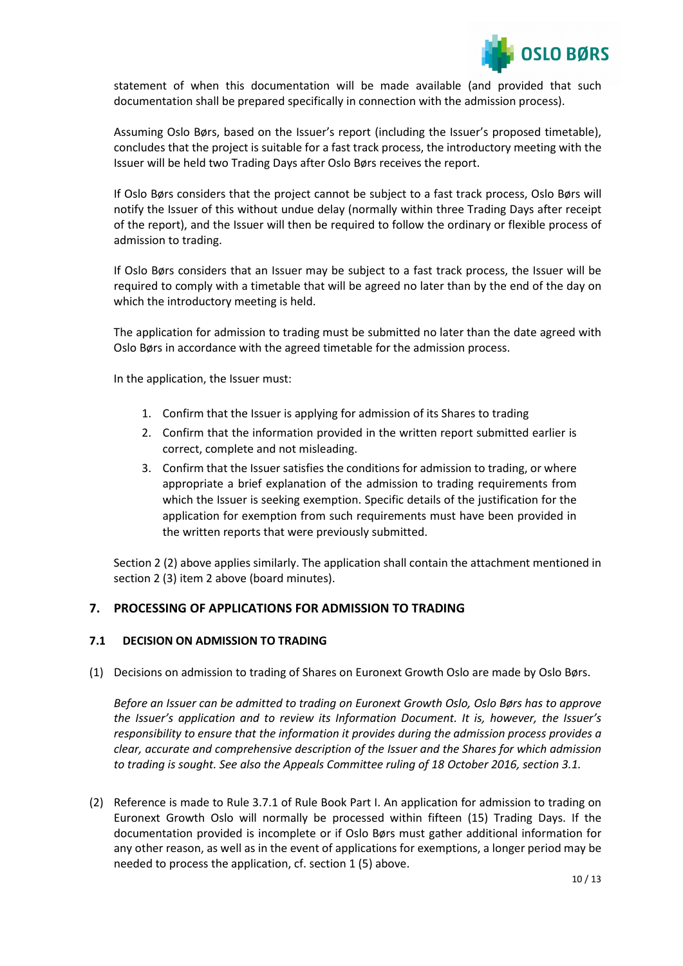

statement of when this documentation will be made available (and provided that such documentation shall be prepared specifically in connection with the admission process).

Assuming Oslo Børs, based on the Issuer's report (including the Issuer's proposed timetable), concludes that the project is suitable for a fast track process, the introductory meeting with the Issuer will be held two Trading Days after Oslo Børs receives the report.

If Oslo Børs considers that the project cannot be subject to a fast track process, Oslo Børs will notify the Issuer of this without undue delay (normally within three Trading Days after receipt of the report), and the Issuer will then be required to follow the ordinary or flexible process of admission to trading.

If Oslo Børs considers that an Issuer may be subject to a fast track process, the Issuer will be required to comply with a timetable that will be agreed no later than by the end of the day on which the introductory meeting is held.

The application for admission to trading must be submitted no later than the date agreed with Oslo Børs in accordance with the agreed timetable for the admission process.

In the application, the Issuer must:

- 1. Confirm that the Issuer is applying for admission of its Shares to trading
- 2. Confirm that the information provided in the written report submitted earlier is correct, complete and not misleading.
- 3. Confirm that the Issuer satisfies the conditions for admission to trading, or where appropriate a brief explanation of the admission to trading requirements from which the Issuer is seeking exemption. Specific details of the justification for the application for exemption from such requirements must have been provided in the written reports that were previously submitted.

Section 2 (2) above applies similarly. The application shall contain the attachment mentioned in section 2 (3) item 2 above (board minutes).

#### **7. PROCESSING OF APPLICATIONS FOR ADMISSION TO TRADING**

#### **7.1 DECISION ON ADMISSION TO TRADING**

(1) Decisions on admission to trading of Shares on Euronext Growth Oslo are made by Oslo Børs.

*Before an Issuer can be admitted to trading on Euronext Growth Oslo, Oslo Børs has to approve the Issuer's application and to review its Information Document. It is, however, the Issuer's responsibility to ensure that the information it provides during the admission process provides a clear, accurate and comprehensive description of the Issuer and the Shares for which admission to trading is sought. See also the Appeals Committee ruling of 18 October 2016, section 3.1.*

(2) Reference is made to Rule 3.7.1 of Rule Book Part I. An application for admission to trading on Euronext Growth Oslo will normally be processed within fifteen (15) Trading Days. If the documentation provided is incomplete or if Oslo Børs must gather additional information for any other reason, as well as in the event of applications for exemptions, a longer period may be needed to process the application, cf. section 1 (5) above.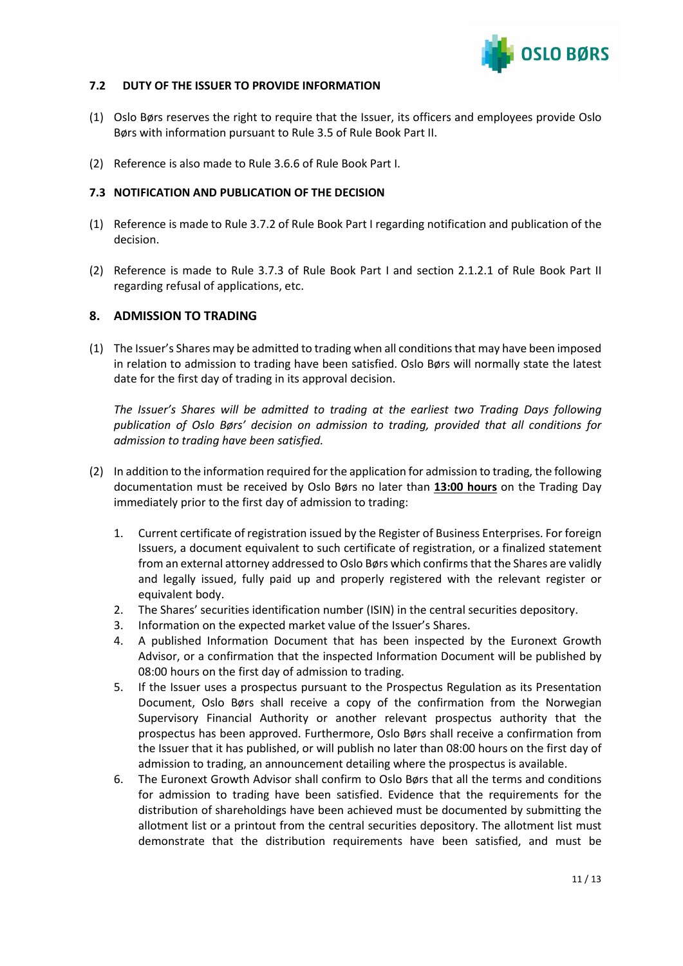

## **7.2 DUTY OF THE ISSUER TO PROVIDE INFORMATION**

- (1) Oslo Børs reserves the right to require that the Issuer, its officers and employees provide Oslo Børs with information pursuant to Rule 3.5 of Rule Book Part II.
- (2) Reference is also made to Rule 3.6.6 of Rule Book Part I.

## **7.3 NOTIFICATION AND PUBLICATION OF THE DECISION**

- (1) Reference is made to Rule 3.7.2 of Rule Book Part I regarding notification and publication of the decision.
- (2) Reference is made to Rule 3.7.3 of Rule Book Part I and section 2.1.2.1 of Rule Book Part II regarding refusal of applications, etc.

## **8. ADMISSION TO TRADING**

(1) The Issuer's Shares may be admitted to trading when all conditions that may have been imposed in relation to admission to trading have been satisfied. Oslo Børs will normally state the latest date for the first day of trading in its approval decision.

*The Issuer's Shares will be admitted to trading at the earliest two Trading Days following publication of Oslo Børs' decision on admission to trading, provided that all conditions for admission to trading have been satisfied.* 

- (2) In addition to the information required for the application for admission to trading, the following documentation must be received by Oslo Børs no later than **13:00 hours** on the Trading Day immediately prior to the first day of admission to trading:
	- 1. Current certificate of registration issued by the Register of Business Enterprises. For foreign Issuers, a document equivalent to such certificate of registration, or a finalized statement from an external attorney addressed to Oslo Børs which confirms that the Shares are validly and legally issued, fully paid up and properly registered with the relevant register or equivalent body.
	- 2. The Shares' securities identification number (ISIN) in the central securities depository.
	- 3. Information on the expected market value of the Issuer's Shares.
	- 4. A published Information Document that has been inspected by the Euronext Growth Advisor, or a confirmation that the inspected Information Document will be published by 08:00 hours on the first day of admission to trading.
	- 5. If the Issuer uses a prospectus pursuant to the Prospectus Regulation as its Presentation Document, Oslo Børs shall receive a copy of the confirmation from the Norwegian Supervisory Financial Authority or another relevant prospectus authority that the prospectus has been approved. Furthermore, Oslo Børs shall receive a confirmation from the Issuer that it has published, or will publish no later than 08:00 hours on the first day of admission to trading, an announcement detailing where the prospectus is available.
	- 6. The Euronext Growth Advisor shall confirm to Oslo Børs that all the terms and conditions for admission to trading have been satisfied. Evidence that the requirements for the distribution of shareholdings have been achieved must be documented by submitting the allotment list or a printout from the central securities depository. The allotment list must demonstrate that the distribution requirements have been satisfied, and must be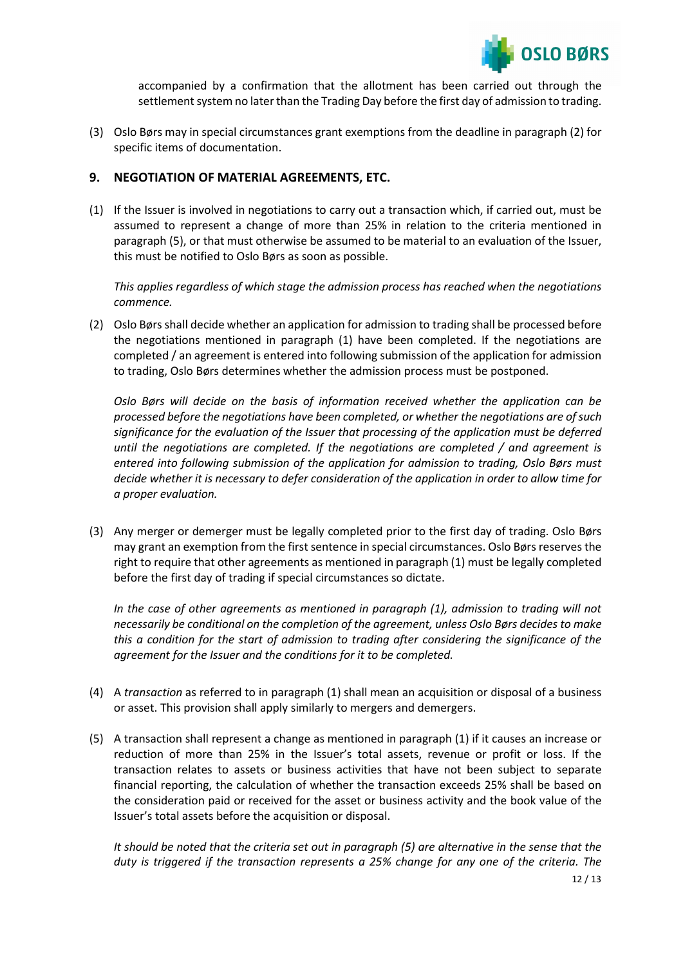

accompanied by a confirmation that the allotment has been carried out through the settlement system no later than the Trading Day before the first day of admission to trading.

(3) Oslo Børs may in special circumstances grant exemptions from the deadline in paragraph (2) for specific items of documentation.

## **9. NEGOTIATION OF MATERIAL AGREEMENTS, ETC.**

(1) If the Issuer is involved in negotiations to carry out a transaction which, if carried out, must be assumed to represent a change of more than 25% in relation to the criteria mentioned in paragraph (5), or that must otherwise be assumed to be material to an evaluation of the Issuer, this must be notified to Oslo Børs as soon as possible.

*This applies regardless of which stage the admission process has reached when the negotiations commence.*

(2) Oslo Børs shall decide whether an application for admission to trading shall be processed before the negotiations mentioned in paragraph (1) have been completed. If the negotiations are completed / an agreement is entered into following submission of the application for admission to trading, Oslo Børs determines whether the admission process must be postponed.

*Oslo Børs will decide on the basis of information received whether the application can be processed before the negotiations have been completed, or whether the negotiations are of such significance for the evaluation of the Issuer that processing of the application must be deferred until the negotiations are completed. If the negotiations are completed / and agreement is entered into following submission of the application for admission to trading, Oslo Børs must decide whether it is necessary to defer consideration of the application in order to allow time for a proper evaluation.* 

(3) Any merger or demerger must be legally completed prior to the first day of trading. Oslo Børs may grant an exemption from the first sentence in special circumstances. Oslo Børs reserves the right to require that other agreements as mentioned in paragraph (1) must be legally completed before the first day of trading if special circumstances so dictate.

*In the case of other agreements as mentioned in paragraph (1), admission to trading will not necessarily be conditional on the completion of the agreement, unless Oslo Børs decides to make this a condition for the start of admission to trading after considering the significance of the agreement for the Issuer and the conditions for it to be completed.*

- (4) A *transaction* as referred to in paragraph (1) shall mean an acquisition or disposal of a business or asset. This provision shall apply similarly to mergers and demergers.
- (5) A transaction shall represent a change as mentioned in paragraph (1) if it causes an increase or reduction of more than 25% in the Issuer's total assets, revenue or profit or loss. If the transaction relates to assets or business activities that have not been subject to separate financial reporting, the calculation of whether the transaction exceeds 25% shall be based on the consideration paid or received for the asset or business activity and the book value of the Issuer's total assets before the acquisition or disposal.

12 / 13 *It should be noted that the criteria set out in paragraph (5) are alternative in the sense that the duty is triggered if the transaction represents a 25% change for any one of the criteria. The*